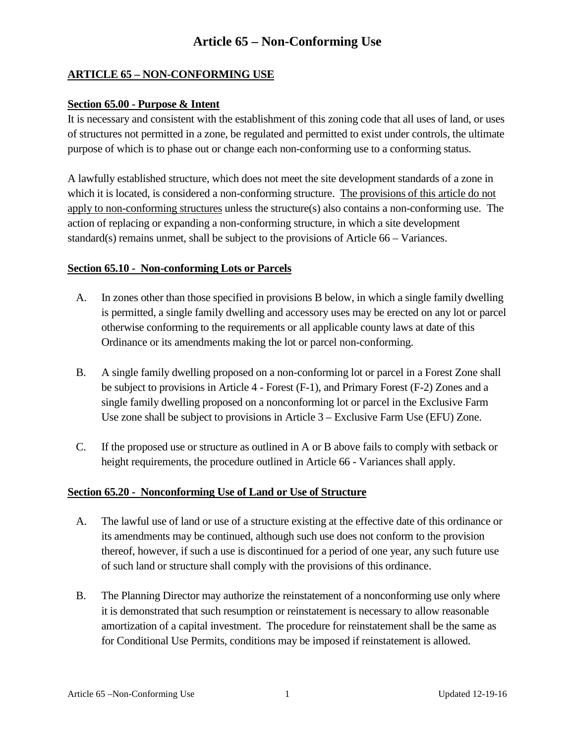# **Article 65 – Non-Conforming Use**

### **ARTICLE 65 – NON-CONFORMING USE**

#### **Section 65.00 - Purpose & Intent**

It is necessary and consistent with the establishment of this zoning code that all uses of land, or uses of structures not permitted in a zone, be regulated and permitted to exist under controls, the ultimate purpose of which is to phase out or change each non-conforming use to a conforming status.

A lawfully established structure, which does not meet the site development standards of a zone in which it is located, is considered a non-conforming structure. The provisions of this article do not apply to non-conforming structures unless the structure(s) also contains a non-conforming use. The action of replacing or expanding a non-conforming structure, in which a site development standard(s) remains unmet, shall be subject to the provisions of Article 66 – Variances.

#### **Section 65.10 - Non-conforming Lots or Parcels**

- A. In zones other than those specified in provisions B below, in which a single family dwelling is permitted, a single family dwelling and accessory uses may be erected on any lot or parcel otherwise conforming to the requirements or all applicable county laws at date of this Ordinance or its amendments making the lot or parcel non-conforming.
- B. A single family dwelling proposed on a non-conforming lot or parcel in a Forest Zone shall be subject to provisions in Article 4 - Forest (F-1), and Primary Forest (F-2) Zones and a single family dwelling proposed on a nonconforming lot or parcel in the Exclusive Farm Use zone shall be subject to provisions in Article 3 – Exclusive Farm Use (EFU) Zone.
- C. If the proposed use or structure as outlined in A or B above fails to comply with setback or height requirements, the procedure outlined in Article 66 - Variances shall apply.

### **Section 65.20 - Nonconforming Use of Land or Use of Structure**

- A. The lawful use of land or use of a structure existing at the effective date of this ordinance or its amendments may be continued, although such use does not conform to the provision thereof, however, if such a use is discontinued for a period of one year, any such future use of such land or structure shall comply with the provisions of this ordinance.
- B. The Planning Director may authorize the reinstatement of a nonconforming use only where it is demonstrated that such resumption or reinstatement is necessary to allow reasonable amortization of a capital investment. The procedure for reinstatement shall be the same as for Conditional Use Permits, conditions may be imposed if reinstatement is allowed.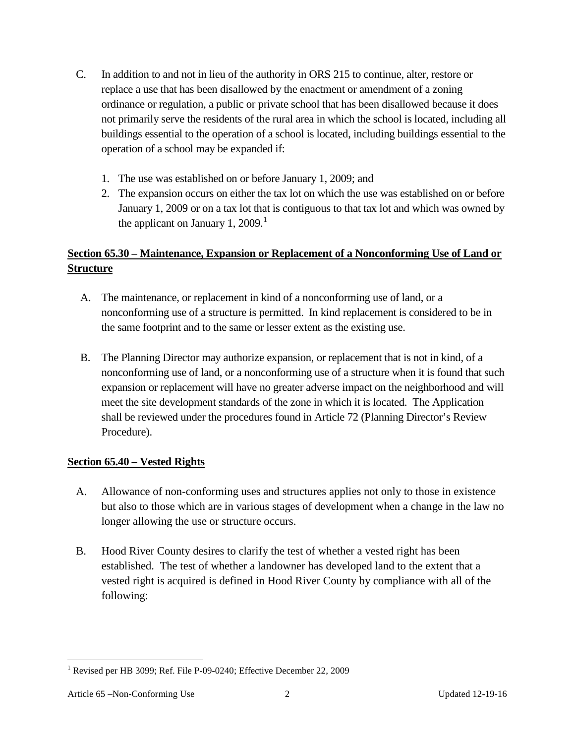- C. In addition to and not in lieu of the authority in ORS 215 to continue, alter, restore or replace a use that has been disallowed by the enactment or amendment of a zoning ordinance or regulation, a public or private school that has been disallowed because it does not primarily serve the residents of the rural area in which the school is located, including all buildings essential to the operation of a school is located, including buildings essential to the operation of a school may be expanded if:
	- 1. The use was established on or before January 1, 2009; and
	- 2. The expansion occurs on either the tax lot on which the use was established on or before January 1, 2009 or on a tax lot that is contiguous to that tax lot and which was owned by the applicant on January [1](#page-1-0), 2009.<sup>1</sup>

# **Section 65.30 – Maintenance, Expansion or Replacement of a Nonconforming Use of Land or Structure**

- A. The maintenance, or replacement in kind of a nonconforming use of land, or a nonconforming use of a structure is permitted. In kind replacement is considered to be in the same footprint and to the same or lesser extent as the existing use.
- B. The Planning Director may authorize expansion, or replacement that is not in kind, of a nonconforming use of land, or a nonconforming use of a structure when it is found that such expansion or replacement will have no greater adverse impact on the neighborhood and will meet the site development standards of the zone in which it is located. The Application shall be reviewed under the procedures found in Article 72 (Planning Director's Review Procedure).

## **Section 65.40 – Vested Rights**

- A. Allowance of non-conforming uses and structures applies not only to those in existence but also to those which are in various stages of development when a change in the law no longer allowing the use or structure occurs.
- B. Hood River County desires to clarify the test of whether a vested right has been established. The test of whether a landowner has developed land to the extent that a vested right is acquired is defined in Hood River County by compliance with all of the following:

<span id="page-1-0"></span><sup>&</sup>lt;sup>1</sup> Revised per HB 3099; Ref. File P-09-0240; Effective December 22, 2009

Article 65 – Non-Conforming Use 2 2 Updated 12-19-16